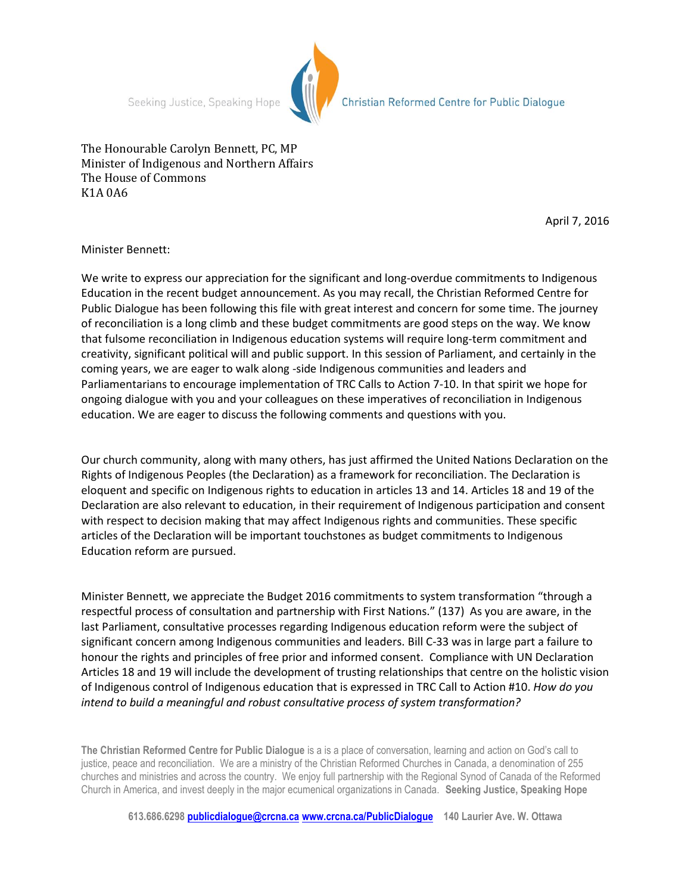Seeking Justice, Speaking Hope



Christian Reformed Centre for Public Dialogue

The Honourable Carolyn Bennett, PC, MP Minister of Indigenous and Northern Affairs The House of Commons K1A 0A6

April 7, 2016

Minister Bennett:

We write to express our appreciation for the significant and long-overdue commitments to Indigenous Education in the recent budget announcement. As you may recall, the Christian Reformed Centre for Public Dialogue has been following this file with great interest and concern for some time. The journey of reconciliation is a long climb and these budget commitments are good steps on the way. We know that fulsome reconciliation in Indigenous education systems will require long-term commitment and creativity, significant political will and public support. In this session of Parliament, and certainly in the coming years, we are eager to walk along -side Indigenous communities and leaders and Parliamentarians to encourage implementation of TRC Calls to Action 7-10. In that spirit we hope for ongoing dialogue with you and your colleagues on these imperatives of reconciliation in Indigenous education. We are eager to discuss the following comments and questions with you.

Our church community, along with many others, has just affirmed the United Nations Declaration on the Rights of Indigenous Peoples (the Declaration) as a framework for reconciliation. The Declaration is eloquent and specific on Indigenous rights to education in articles 13 and 14. Articles 18 and 19 of the Declaration are also relevant to education, in their requirement of Indigenous participation and consent with respect to decision making that may affect Indigenous rights and communities. These specific articles of the Declaration will be important touchstones as budget commitments to Indigenous Education reform are pursued.

Minister Bennett, we appreciate the Budget 2016 commitments to system transformation "through a respectful process of consultation and partnership with First Nations." (137) As you are aware, in the last Parliament, consultative processes regarding Indigenous education reform were the subject of significant concern among Indigenous communities and leaders. Bill C-33 was in large part a failure to honour the rights and principles of free prior and informed consent. Compliance with UN Declaration Articles 18 and 19 will include the development of trusting relationships that centre on the holistic vision of Indigenous control of Indigenous education that is expressed in TRC Call to Action #10. *How do you intend to build a meaningful and robust consultative process of system transformation?*

**The Christian Reformed Centre for Public Dialogue** is a is a place of conversation, learning and action on God's call to justice, peace and reconciliation. We are a ministry of the Christian Reformed Churches in Canada, a denomination of 255 churches and ministries and across the country. We enjoy full partnership with the Regional Synod of Canada of the Reformed Church in America, and invest deeply in the major ecumenical organizations in Canada. **Seeking Justice, Speaking Hope**